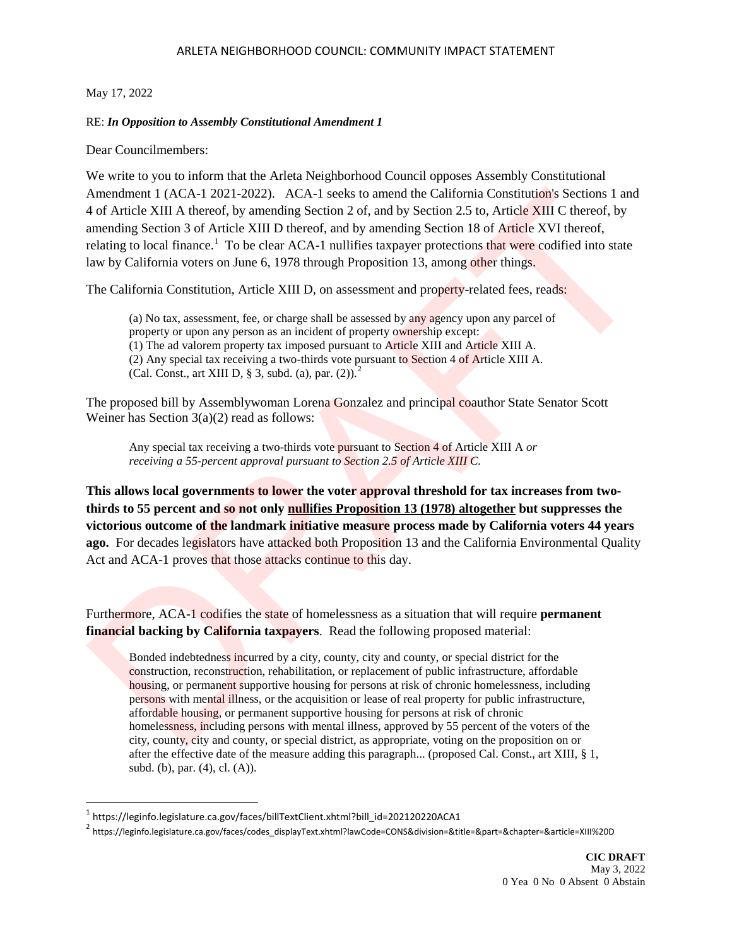### ARLETA NEIGHBORHOOD COUNCIL: COMMUNITY IMPACT STATEMENT

# May 17, 2022

l

# RE: *In Opposition to Assembly Constitutional Amendment 1*

Dear Councilmembers:

We write to you to inform that the Arleta Neighborhood Council opposes Assembly Constitutional Amendment 1 (ACA-1 2021-2022). ACA-1 seeks to amend the California Constitution's Sections 1 and 4 of Article XIII A thereof, by amending Section 2 of, and by Section 2.5 to, Article XIII C thereof, by amending Section 3 of Article XIII D thereof, and by amending Section 18 of Article XVI thereof, relating to local finance.<sup>1</sup> To be clear ACA-1 nullifies taxpayer protections that were codified into state law by California voters on June 6, 1978 through Proposition 13, among other things. [A](#page-0-1)mendment 1 (ACA-1 2021-2022). ACA-1 seeks to amend the California Constitutions Sections 1 and<br>
And Article XIII A thereof, by smending Section 2 of, and by Section 2.5 to. Article XIII C thereof, by<br>
amending Section 3

The California Constitution, Article XIII D, on assessment and property-related fees, reads:

(a) No tax, assessment, fee, or charge shall be assessed by any agency upon any parcel of property or upon any person as an incident of property ownership except: (1) The ad valorem property tax imposed pursuant to Article XIII and Article XIII A. (2) Any special tax receiving a two-thirds vote pursuant to Section 4 of Article XIII A. (Cal. Const., art XIII D, § 3, subd. (a), par.  $(2)$ ).<sup>2</sup>

The proposed bill by Assemblywoman Lorena Gonzalez and principal coauthor State Senator Scott Weiner has Section 3(a)(2) read as follows:

Any special tax receiving a two-thirds vote pursuant to Section 4 of Article XIII A *or receiving a 55-percent approval pursuant to Section 2.5 of Article XIII C.*

**This allows local governments to lower the voter approval threshold for tax increases from twothirds to 55 percent and so not only nullifies Proposition 13 (1978) altogether but suppresses the victorious outcome of the landmark initiative measure process made by California voters 44 years ago.** For decades legislators have attacked both Proposition 13 and the California Environmental Quality Act and ACA-1 proves that those attacks continue to this day.

Furthermore, ACA-1 codifies the state of homelessness as a situation that will require **permanent financial backing by California taxpayers**. Read the following proposed material:

Bonded indebtedness incurred by a city, county, city and county, or special district for the construction, reconstruction, rehabilitation, or replacement of public infrastructure, affordable housing, or permanent supportive housing for persons at risk of chronic homelessness, including persons with mental illness, or the acquisition or lease of real property for public infrastructure, affordable housing, or permanent supportive housing for persons at risk of chronic homelessness, including persons with mental illness, approved by 55 percent of the voters of the city, county, city and county, or special district, as appropriate, voting on the proposition on or after the effective date of the measure adding this paragraph... (proposed Cal. Const., art XIII, § 1, subd. (b), par. (4), cl. (A)).

<span id="page-0-0"></span> $1$  https://leginfo.legislature.ca.gov/faces/billTextClient.xhtml?bill\_id=202120220ACA1

<span id="page-0-1"></span><sup>2</sup> https://leginfo.legislature.ca.gov/faces/codes\_displayText.xhtml?lawCode=CONS&division=&title=&part=&chapter=&article=XIII%20D